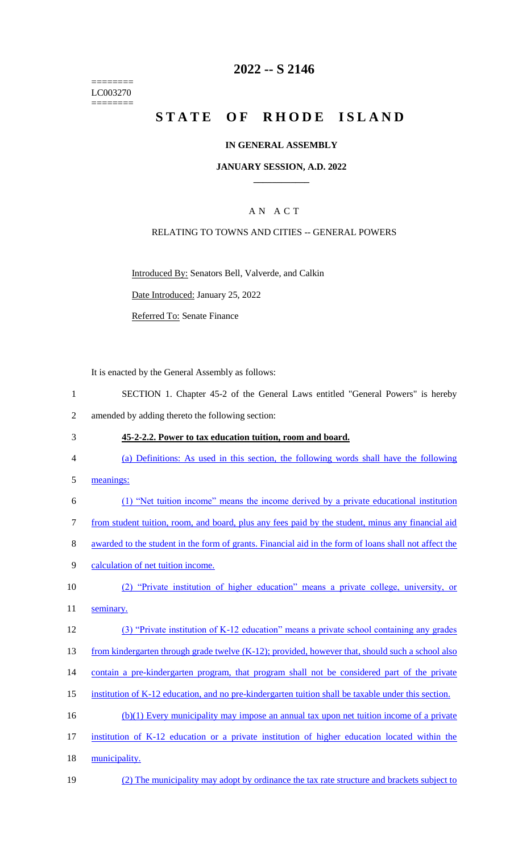======== LC003270 ========

# **2022 -- S 2146**

# **STATE OF RHODE ISLAND**

### **IN GENERAL ASSEMBLY**

### **JANUARY SESSION, A.D. 2022 \_\_\_\_\_\_\_\_\_\_\_\_**

## A N A C T

### RELATING TO TOWNS AND CITIES -- GENERAL POWERS

Introduced By: Senators Bell, Valverde, and Calkin

Date Introduced: January 25, 2022

Referred To: Senate Finance

It is enacted by the General Assembly as follows:

- 1 SECTION 1. Chapter 45-2 of the General Laws entitled "General Powers" is hereby 2 amended by adding thereto the following section:
- 3 **45-2-2.2. Power to tax education tuition, room and board.**
- 4 (a) Definitions: As used in this section, the following words shall have the following
- 5 meanings:
- 6 (1) "Net tuition income" means the income derived by a private educational institution
- 7 from student tuition, room, and board, plus any fees paid by the student, minus any financial aid
- 8 awarded to the student in the form of grants. Financial aid in the form of loans shall not affect the
- 9 calculation of net tuition income.
- 10 (2) "Private institution of higher education" means a private college, university, or 11 seminary.
- 
- 12 (3) "Private institution of K-12 education" means a private school containing any grades
- 13 from kindergarten through grade twelve (K-12); provided, however that, should such a school also
- 14 contain a pre-kindergarten program, that program shall not be considered part of the private
- 15 institution of K-12 education, and no pre-kindergarten tuition shall be taxable under this section.
- 16 (b)(1) Every municipality may impose an annual tax upon net tuition income of a private
- 17 institution of K-12 education or a private institution of higher education located within the
- 18 municipality.
- 19 (2) The municipality may adopt by ordinance the tax rate structure and brackets subject to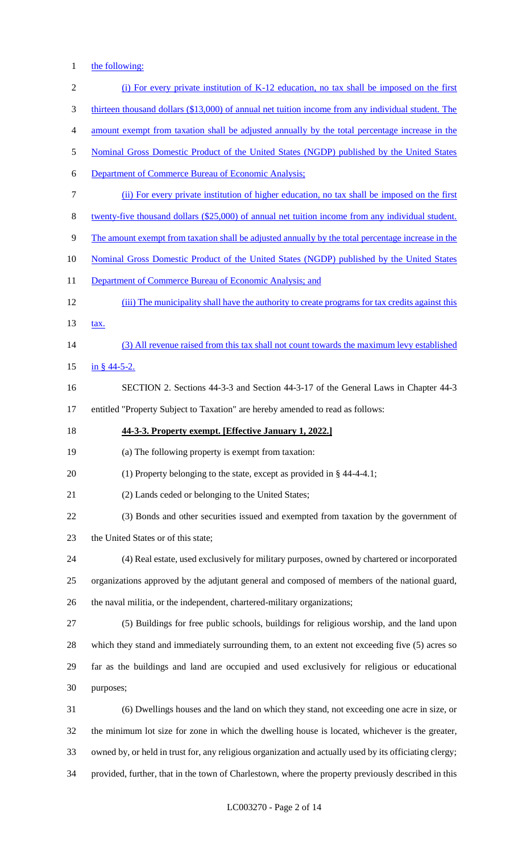1 the following:

| $\sqrt{2}$     | (i) For every private institution of K-12 education, no tax shall be imposed on the first               |
|----------------|---------------------------------------------------------------------------------------------------------|
| 3              | thirteen thousand dollars (\$13,000) of annual net tuition income from any individual student. The      |
| $\overline{4}$ | amount exempt from taxation shall be adjusted annually by the total percentage increase in the          |
| $\mathfrak{S}$ | Nominal Gross Domestic Product of the United States (NGDP) published by the United States               |
| 6              | <b>Department of Commerce Bureau of Economic Analysis:</b>                                              |
| $\tau$         | (ii) For every private institution of higher education, no tax shall be imposed on the first            |
| $8\,$          | twenty-five thousand dollars (\$25,000) of annual net tuition income from any individual student.       |
| $\mathbf{9}$   | The amount exempt from taxation shall be adjusted annually by the total percentage increase in the      |
| 10             | Nominal Gross Domestic Product of the United States (NGDP) published by the United States               |
| 11             | Department of Commerce Bureau of Economic Analysis; and                                                 |
| 12             | (iii) The municipality shall have the authority to create programs for tax credits against this         |
| 13             | tax.                                                                                                    |
| 14             | (3) All revenue raised from this tax shall not count towards the maximum levy established               |
| 15             | $\frac{\text{in } }{s}$ 44-5-2.                                                                         |
| 16             | SECTION 2. Sections 44-3-3 and Section 44-3-17 of the General Laws in Chapter 44-3                      |
| 17             | entitled "Property Subject to Taxation" are hereby amended to read as follows:                          |
| 18             | 44-3-3. Property exempt. [Effective January 1, 2022.]                                                   |
| 19             | (a) The following property is exempt from taxation:                                                     |
| 20             | (1) Property belonging to the state, except as provided in $\S$ 44-4-4.1;                               |
| 21             | (2) Lands ceded or belonging to the United States;                                                      |
| 22             | (3) Bonds and other securities issued and exempted from taxation by the government of                   |
| 23             | the United States or of this state;                                                                     |
| 24             | (4) Real estate, used exclusively for military purposes, owned by chartered or incorporated             |
| 25             | organizations approved by the adjutant general and composed of members of the national guard,           |
| 26             | the naval militia, or the independent, chartered-military organizations;                                |
| 27             | (5) Buildings for free public schools, buildings for religious worship, and the land upon               |
| 28             | which they stand and immediately surrounding them, to an extent not exceeding five (5) acres so         |
| 29             | far as the buildings and land are occupied and used exclusively for religious or educational            |
| 30             | purposes;                                                                                               |
| 31             | (6) Dwellings houses and the land on which they stand, not exceeding one acre in size, or               |
| 32             | the minimum lot size for zone in which the dwelling house is located, whichever is the greater,         |
| 33             | owned by, or held in trust for, any religious organization and actually used by its officiating clergy; |
| 34             | provided, further, that in the town of Charlestown, where the property previously described in this     |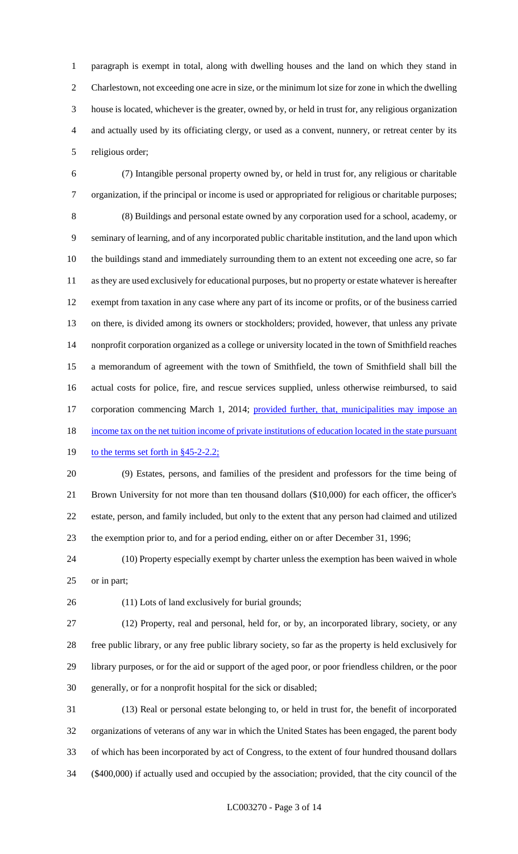paragraph is exempt in total, along with dwelling houses and the land on which they stand in Charlestown, not exceeding one acre in size, or the minimum lot size for zone in which the dwelling house is located, whichever is the greater, owned by, or held in trust for, any religious organization and actually used by its officiating clergy, or used as a convent, nunnery, or retreat center by its religious order;

 (7) Intangible personal property owned by, or held in trust for, any religious or charitable organization, if the principal or income is used or appropriated for religious or charitable purposes; (8) Buildings and personal estate owned by any corporation used for a school, academy, or seminary of learning, and of any incorporated public charitable institution, and the land upon which the buildings stand and immediately surrounding them to an extent not exceeding one acre, so far as they are used exclusively for educational purposes, but no property or estate whatever is hereafter exempt from taxation in any case where any part of its income or profits, or of the business carried on there, is divided among its owners or stockholders; provided, however, that unless any private nonprofit corporation organized as a college or university located in the town of Smithfield reaches a memorandum of agreement with the town of Smithfield, the town of Smithfield shall bill the actual costs for police, fire, and rescue services supplied, unless otherwise reimbursed, to said 17 corporation commencing March 1, 2014; provided further, that, municipalities may impose an 18 income tax on the net tuition income of private institutions of education located in the state pursuant

# 19 to the terms set forth in §45-2-2.2;

 (9) Estates, persons, and families of the president and professors for the time being of Brown University for not more than ten thousand dollars (\$10,000) for each officer, the officer's estate, person, and family included, but only to the extent that any person had claimed and utilized the exemption prior to, and for a period ending, either on or after December 31, 1996;

 (10) Property especially exempt by charter unless the exemption has been waived in whole or in part;

(11) Lots of land exclusively for burial grounds;

 (12) Property, real and personal, held for, or by, an incorporated library, society, or any free public library, or any free public library society, so far as the property is held exclusively for library purposes, or for the aid or support of the aged poor, or poor friendless children, or the poor generally, or for a nonprofit hospital for the sick or disabled;

 (13) Real or personal estate belonging to, or held in trust for, the benefit of incorporated organizations of veterans of any war in which the United States has been engaged, the parent body of which has been incorporated by act of Congress, to the extent of four hundred thousand dollars (\$400,000) if actually used and occupied by the association; provided, that the city council of the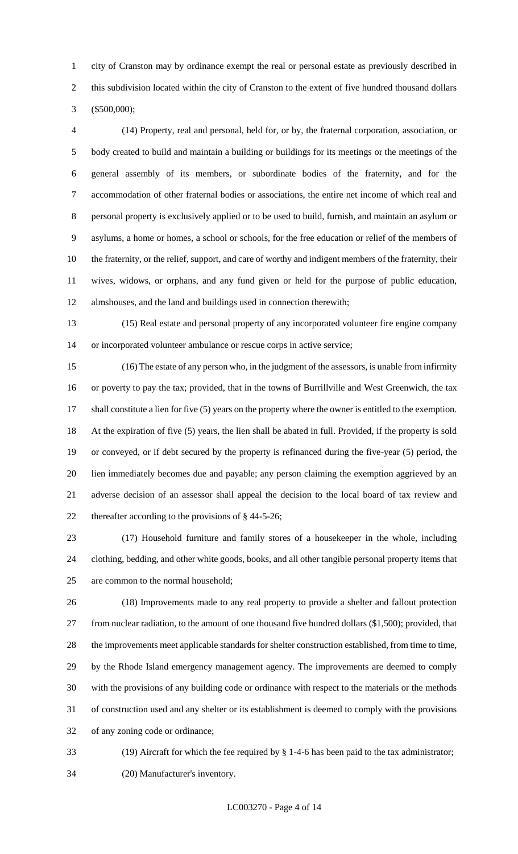city of Cranston may by ordinance exempt the real or personal estate as previously described in this subdivision located within the city of Cranston to the extent of five hundred thousand dollars (\$500,000);

 (14) Property, real and personal, held for, or by, the fraternal corporation, association, or body created to build and maintain a building or buildings for its meetings or the meetings of the general assembly of its members, or subordinate bodies of the fraternity, and for the accommodation of other fraternal bodies or associations, the entire net income of which real and personal property is exclusively applied or to be used to build, furnish, and maintain an asylum or asylums, a home or homes, a school or schools, for the free education or relief of the members of the fraternity, or the relief, support, and care of worthy and indigent members of the fraternity, their wives, widows, or orphans, and any fund given or held for the purpose of public education, almshouses, and the land and buildings used in connection therewith;

 (15) Real estate and personal property of any incorporated volunteer fire engine company or incorporated volunteer ambulance or rescue corps in active service;

 (16) The estate of any person who, in the judgment of the assessors, is unable from infirmity or poverty to pay the tax; provided, that in the towns of Burrillville and West Greenwich, the tax shall constitute a lien for five (5) years on the property where the owner is entitled to the exemption. At the expiration of five (5) years, the lien shall be abated in full. Provided, if the property is sold or conveyed, or if debt secured by the property is refinanced during the five-year (5) period, the lien immediately becomes due and payable; any person claiming the exemption aggrieved by an adverse decision of an assessor shall appeal the decision to the local board of tax review and thereafter according to the provisions of § 44-5-26;

 (17) Household furniture and family stores of a housekeeper in the whole, including clothing, bedding, and other white goods, books, and all other tangible personal property items that are common to the normal household;

 (18) Improvements made to any real property to provide a shelter and fallout protection from nuclear radiation, to the amount of one thousand five hundred dollars (\$1,500); provided, that the improvements meet applicable standards for shelter construction established, from time to time, by the Rhode Island emergency management agency. The improvements are deemed to comply with the provisions of any building code or ordinance with respect to the materials or the methods of construction used and any shelter or its establishment is deemed to comply with the provisions of any zoning code or ordinance;

 (19) Aircraft for which the fee required by § 1-4-6 has been paid to the tax administrator; (20) Manufacturer's inventory.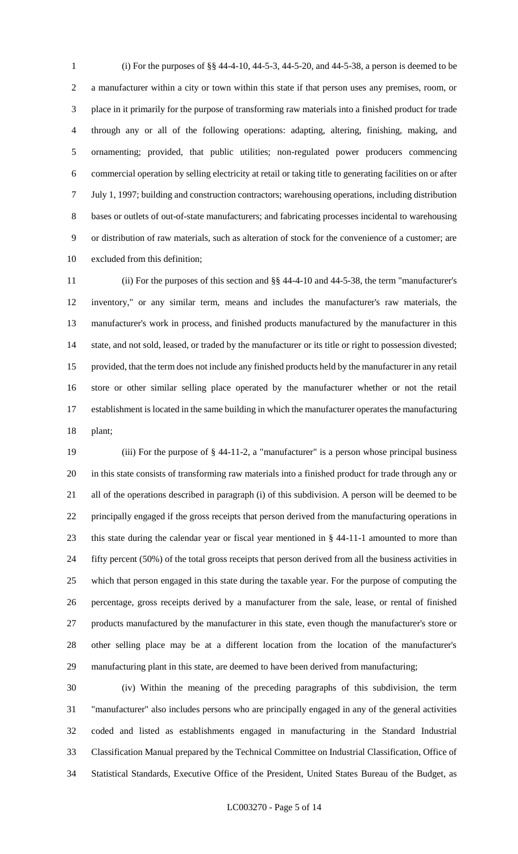(i) For the purposes of §§ 44-4-10, 44-5-3, 44-5-20, and 44-5-38, a person is deemed to be a manufacturer within a city or town within this state if that person uses any premises, room, or place in it primarily for the purpose of transforming raw materials into a finished product for trade through any or all of the following operations: adapting, altering, finishing, making, and ornamenting; provided, that public utilities; non-regulated power producers commencing commercial operation by selling electricity at retail or taking title to generating facilities on or after July 1, 1997; building and construction contractors; warehousing operations, including distribution bases or outlets of out-of-state manufacturers; and fabricating processes incidental to warehousing or distribution of raw materials, such as alteration of stock for the convenience of a customer; are excluded from this definition;

 (ii) For the purposes of this section and §§ 44-4-10 and 44-5-38, the term "manufacturer's inventory," or any similar term, means and includes the manufacturer's raw materials, the manufacturer's work in process, and finished products manufactured by the manufacturer in this state, and not sold, leased, or traded by the manufacturer or its title or right to possession divested; provided, that the term does not include any finished products held by the manufacturer in any retail store or other similar selling place operated by the manufacturer whether or not the retail establishment is located in the same building in which the manufacturer operates the manufacturing plant;

 (iii) For the purpose of § 44-11-2, a "manufacturer" is a person whose principal business in this state consists of transforming raw materials into a finished product for trade through any or all of the operations described in paragraph (i) of this subdivision. A person will be deemed to be principally engaged if the gross receipts that person derived from the manufacturing operations in this state during the calendar year or fiscal year mentioned in § 44-11-1 amounted to more than fifty percent (50%) of the total gross receipts that person derived from all the business activities in which that person engaged in this state during the taxable year. For the purpose of computing the percentage, gross receipts derived by a manufacturer from the sale, lease, or rental of finished products manufactured by the manufacturer in this state, even though the manufacturer's store or other selling place may be at a different location from the location of the manufacturer's manufacturing plant in this state, are deemed to have been derived from manufacturing;

 (iv) Within the meaning of the preceding paragraphs of this subdivision, the term "manufacturer" also includes persons who are principally engaged in any of the general activities coded and listed as establishments engaged in manufacturing in the Standard Industrial Classification Manual prepared by the Technical Committee on Industrial Classification, Office of Statistical Standards, Executive Office of the President, United States Bureau of the Budget, as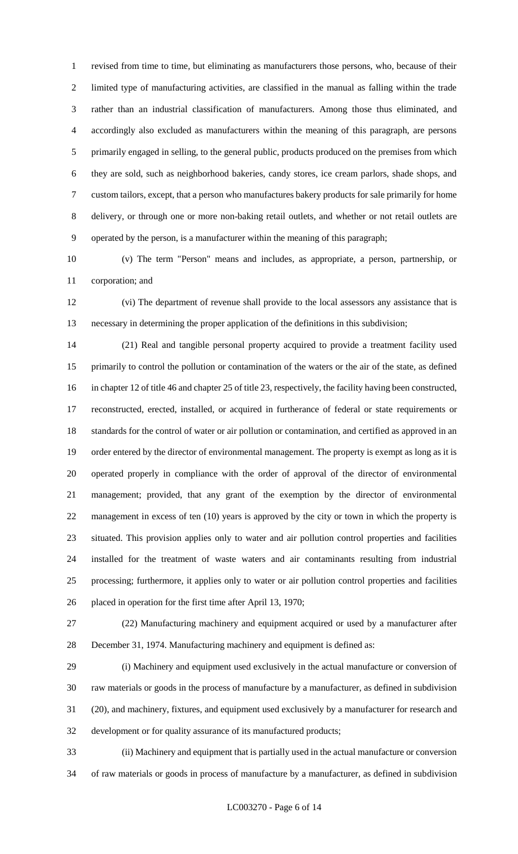revised from time to time, but eliminating as manufacturers those persons, who, because of their limited type of manufacturing activities, are classified in the manual as falling within the trade rather than an industrial classification of manufacturers. Among those thus eliminated, and accordingly also excluded as manufacturers within the meaning of this paragraph, are persons 5 primarily engaged in selling, to the general public, products produced on the premises from which they are sold, such as neighborhood bakeries, candy stores, ice cream parlors, shade shops, and custom tailors, except, that a person who manufactures bakery products for sale primarily for home delivery, or through one or more non-baking retail outlets, and whether or not retail outlets are operated by the person, is a manufacturer within the meaning of this paragraph;

 (v) The term "Person" means and includes, as appropriate, a person, partnership, or corporation; and

 (vi) The department of revenue shall provide to the local assessors any assistance that is necessary in determining the proper application of the definitions in this subdivision;

 (21) Real and tangible personal property acquired to provide a treatment facility used primarily to control the pollution or contamination of the waters or the air of the state, as defined in chapter 12 of title 46 and chapter 25 of title 23, respectively, the facility having been constructed, reconstructed, erected, installed, or acquired in furtherance of federal or state requirements or standards for the control of water or air pollution or contamination, and certified as approved in an order entered by the director of environmental management. The property is exempt as long as it is operated properly in compliance with the order of approval of the director of environmental management; provided, that any grant of the exemption by the director of environmental management in excess of ten (10) years is approved by the city or town in which the property is situated. This provision applies only to water and air pollution control properties and facilities installed for the treatment of waste waters and air contaminants resulting from industrial processing; furthermore, it applies only to water or air pollution control properties and facilities placed in operation for the first time after April 13, 1970;

 (22) Manufacturing machinery and equipment acquired or used by a manufacturer after December 31, 1974. Manufacturing machinery and equipment is defined as:

 (i) Machinery and equipment used exclusively in the actual manufacture or conversion of raw materials or goods in the process of manufacture by a manufacturer, as defined in subdivision (20), and machinery, fixtures, and equipment used exclusively by a manufacturer for research and development or for quality assurance of its manufactured products;

 (ii) Machinery and equipment that is partially used in the actual manufacture or conversion of raw materials or goods in process of manufacture by a manufacturer, as defined in subdivision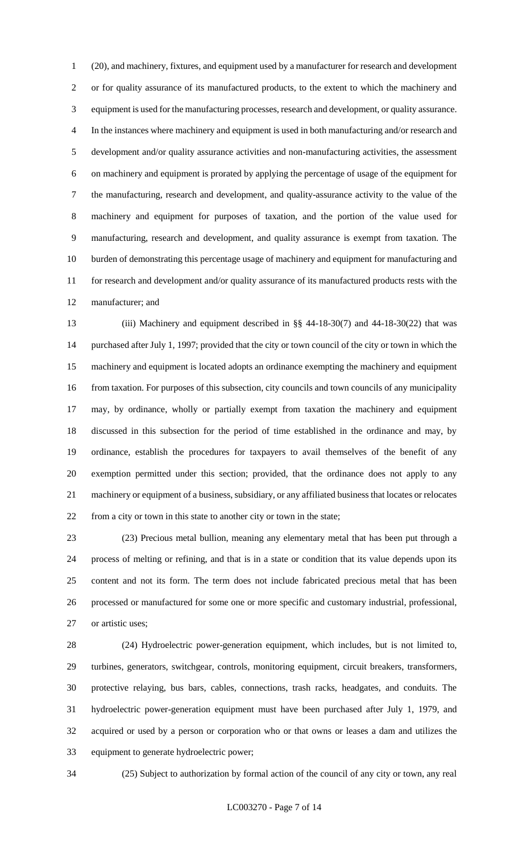(20), and machinery, fixtures, and equipment used by a manufacturer for research and development or for quality assurance of its manufactured products, to the extent to which the machinery and equipment is used for the manufacturing processes, research and development, or quality assurance. In the instances where machinery and equipment is used in both manufacturing and/or research and development and/or quality assurance activities and non-manufacturing activities, the assessment on machinery and equipment is prorated by applying the percentage of usage of the equipment for the manufacturing, research and development, and quality-assurance activity to the value of the machinery and equipment for purposes of taxation, and the portion of the value used for manufacturing, research and development, and quality assurance is exempt from taxation. The burden of demonstrating this percentage usage of machinery and equipment for manufacturing and for research and development and/or quality assurance of its manufactured products rests with the manufacturer; and

 (iii) Machinery and equipment described in §§ 44-18-30(7) and 44-18-30(22) that was purchased after July 1, 1997; provided that the city or town council of the city or town in which the machinery and equipment is located adopts an ordinance exempting the machinery and equipment from taxation. For purposes of this subsection, city councils and town councils of any municipality may, by ordinance, wholly or partially exempt from taxation the machinery and equipment discussed in this subsection for the period of time established in the ordinance and may, by ordinance, establish the procedures for taxpayers to avail themselves of the benefit of any exemption permitted under this section; provided, that the ordinance does not apply to any machinery or equipment of a business, subsidiary, or any affiliated business that locates or relocates from a city or town in this state to another city or town in the state;

 (23) Precious metal bullion, meaning any elementary metal that has been put through a process of melting or refining, and that is in a state or condition that its value depends upon its content and not its form. The term does not include fabricated precious metal that has been processed or manufactured for some one or more specific and customary industrial, professional, or artistic uses;

 (24) Hydroelectric power-generation equipment, which includes, but is not limited to, turbines, generators, switchgear, controls, monitoring equipment, circuit breakers, transformers, protective relaying, bus bars, cables, connections, trash racks, headgates, and conduits. The hydroelectric power-generation equipment must have been purchased after July 1, 1979, and acquired or used by a person or corporation who or that owns or leases a dam and utilizes the equipment to generate hydroelectric power;

(25) Subject to authorization by formal action of the council of any city or town, any real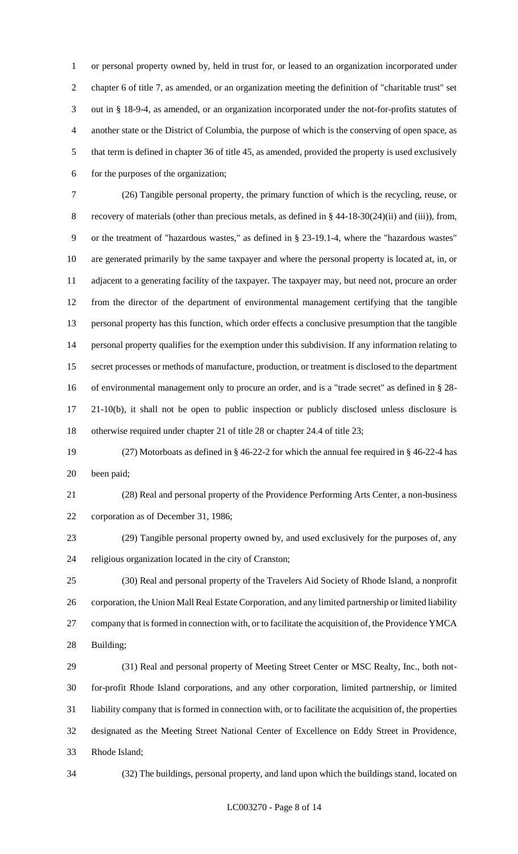or personal property owned by, held in trust for, or leased to an organization incorporated under chapter 6 of title 7, as amended, or an organization meeting the definition of "charitable trust" set out in § 18-9-4, as amended, or an organization incorporated under the not-for-profits statutes of another state or the District of Columbia, the purpose of which is the conserving of open space, as that term is defined in chapter 36 of title 45, as amended, provided the property is used exclusively for the purposes of the organization;

 (26) Tangible personal property, the primary function of which is the recycling, reuse, or recovery of materials (other than precious metals, as defined in § 44-18-30(24)(ii) and (iii)), from, or the treatment of "hazardous wastes," as defined in § 23-19.1-4, where the "hazardous wastes" are generated primarily by the same taxpayer and where the personal property is located at, in, or adjacent to a generating facility of the taxpayer. The taxpayer may, but need not, procure an order from the director of the department of environmental management certifying that the tangible personal property has this function, which order effects a conclusive presumption that the tangible personal property qualifies for the exemption under this subdivision. If any information relating to secret processes or methods of manufacture, production, or treatment is disclosed to the department of environmental management only to procure an order, and is a "trade secret" as defined in § 28- 21-10(b), it shall not be open to public inspection or publicly disclosed unless disclosure is otherwise required under chapter 21 of title 28 or chapter 24.4 of title 23;

 (27) Motorboats as defined in § 46-22-2 for which the annual fee required in § 46-22-4 has been paid;

 (28) Real and personal property of the Providence Performing Arts Center, a non-business corporation as of December 31, 1986;

 (29) Tangible personal property owned by, and used exclusively for the purposes of, any religious organization located in the city of Cranston;

 (30) Real and personal property of the Travelers Aid Society of Rhode Island, a nonprofit corporation, the Union Mall Real Estate Corporation, and any limited partnership or limited liability company that is formed in connection with, or to facilitate the acquisition of, the Providence YMCA Building;

 (31) Real and personal property of Meeting Street Center or MSC Realty, Inc., both not- for-profit Rhode Island corporations, and any other corporation, limited partnership, or limited liability company that is formed in connection with, or to facilitate the acquisition of, the properties designated as the Meeting Street National Center of Excellence on Eddy Street in Providence, Rhode Island;

(32) The buildings, personal property, and land upon which the buildings stand, located on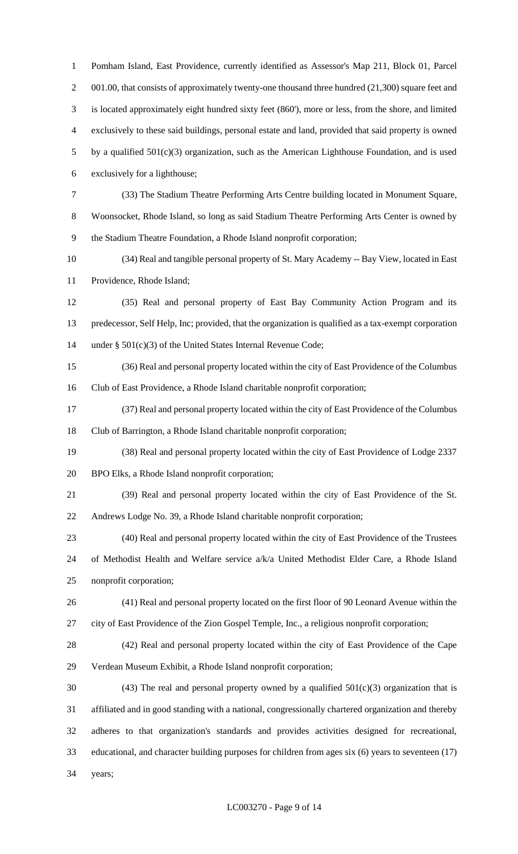Pomham Island, East Providence, currently identified as Assessor's Map 211, Block 01, Parcel 2 001.00, that consists of approximately twenty-one thousand three hundred (21,300) square feet and is located approximately eight hundred sixty feet (860'), more or less, from the shore, and limited exclusively to these said buildings, personal estate and land, provided that said property is owned by a qualified 501(c)(3) organization, such as the American Lighthouse Foundation, and is used exclusively for a lighthouse; (33) The Stadium Theatre Performing Arts Centre building located in Monument Square, Woonsocket, Rhode Island, so long as said Stadium Theatre Performing Arts Center is owned by the Stadium Theatre Foundation, a Rhode Island nonprofit corporation; (34) Real and tangible personal property of St. Mary Academy -- Bay View, located in East Providence, Rhode Island; (35) Real and personal property of East Bay Community Action Program and its predecessor, Self Help, Inc; provided, that the organization is qualified as a tax-exempt corporation under § 501(c)(3) of the United States Internal Revenue Code; (36) Real and personal property located within the city of East Providence of the Columbus Club of East Providence, a Rhode Island charitable nonprofit corporation; (37) Real and personal property located within the city of East Providence of the Columbus Club of Barrington, a Rhode Island charitable nonprofit corporation; (38) Real and personal property located within the city of East Providence of Lodge 2337 BPO Elks, a Rhode Island nonprofit corporation; (39) Real and personal property located within the city of East Providence of the St. Andrews Lodge No. 39, a Rhode Island charitable nonprofit corporation; (40) Real and personal property located within the city of East Providence of the Trustees of Methodist Health and Welfare service a/k/a United Methodist Elder Care, a Rhode Island nonprofit corporation; (41) Real and personal property located on the first floor of 90 Leonard Avenue within the

city of East Providence of the Zion Gospel Temple, Inc., a religious nonprofit corporation;

 (42) Real and personal property located within the city of East Providence of the Cape Verdean Museum Exhibit, a Rhode Island nonprofit corporation;

30 (43) The real and personal property owned by a qualified  $501(c)(3)$  organization that is affiliated and in good standing with a national, congressionally chartered organization and thereby adheres to that organization's standards and provides activities designed for recreational, educational, and character building purposes for children from ages six (6) years to seventeen (17) years;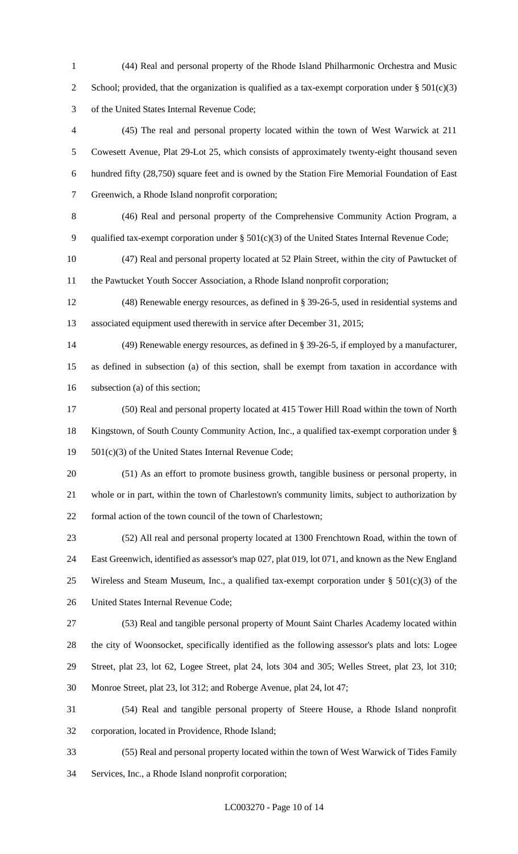(44) Real and personal property of the Rhode Island Philharmonic Orchestra and Music 2 School; provided, that the organization is qualified as a tax-exempt corporation under  $\S 501(c)(3)$ of the United States Internal Revenue Code;

 (45) The real and personal property located within the town of West Warwick at 211 Cowesett Avenue, Plat 29-Lot 25, which consists of approximately twenty-eight thousand seven hundred fifty (28,750) square feet and is owned by the Station Fire Memorial Foundation of East Greenwich, a Rhode Island nonprofit corporation;

(46) Real and personal property of the Comprehensive Community Action Program, a

qualified tax-exempt corporation under § 501(c)(3) of the United States Internal Revenue Code;

 (47) Real and personal property located at 52 Plain Street, within the city of Pawtucket of the Pawtucket Youth Soccer Association, a Rhode Island nonprofit corporation;

 (48) Renewable energy resources, as defined in § 39-26-5, used in residential systems and associated equipment used therewith in service after December 31, 2015;

 (49) Renewable energy resources, as defined in § 39-26-5, if employed by a manufacturer, as defined in subsection (a) of this section, shall be exempt from taxation in accordance with subsection (a) of this section;

 (50) Real and personal property located at 415 Tower Hill Road within the town of North Kingstown, of South County Community Action, Inc., a qualified tax-exempt corporation under § 501(c)(3) of the United States Internal Revenue Code;

 (51) As an effort to promote business growth, tangible business or personal property, in whole or in part, within the town of Charlestown's community limits, subject to authorization by formal action of the town council of the town of Charlestown;

 (52) All real and personal property located at 1300 Frenchtown Road, within the town of East Greenwich, identified as assessor's map 027, plat 019, lot 071, and known as the New England 25 Wireless and Steam Museum, Inc., a qualified tax-exempt corporation under  $\S$  501(c)(3) of the United States Internal Revenue Code;

 (53) Real and tangible personal property of Mount Saint Charles Academy located within the city of Woonsocket, specifically identified as the following assessor's plats and lots: Logee Street, plat 23, lot 62, Logee Street, plat 24, lots 304 and 305; Welles Street, plat 23, lot 310; Monroe Street, plat 23, lot 312; and Roberge Avenue, plat 24, lot 47;

 (54) Real and tangible personal property of Steere House, a Rhode Island nonprofit corporation, located in Providence, Rhode Island;

 (55) Real and personal property located within the town of West Warwick of Tides Family Services, Inc., a Rhode Island nonprofit corporation;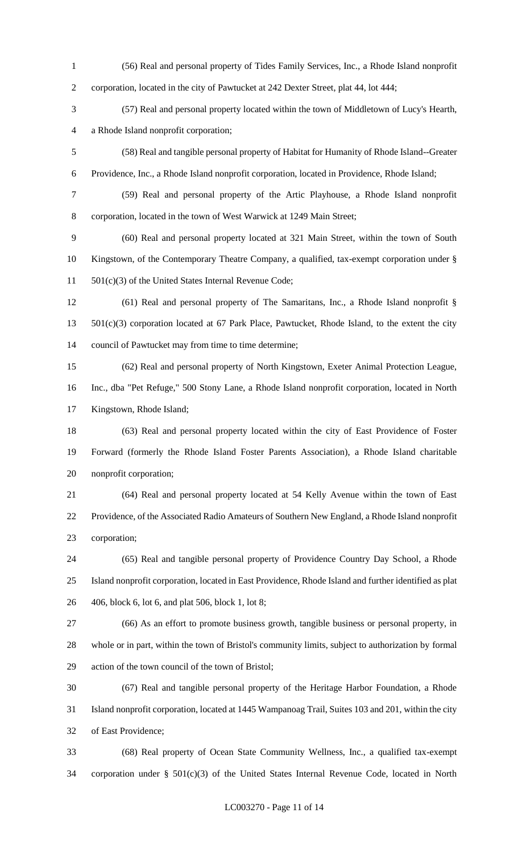(56) Real and personal property of Tides Family Services, Inc., a Rhode Island nonprofit corporation, located in the city of Pawtucket at 242 Dexter Street, plat 44, lot 444; (57) Real and personal property located within the town of Middletown of Lucy's Hearth, a Rhode Island nonprofit corporation; (58) Real and tangible personal property of Habitat for Humanity of Rhode Island--Greater Providence, Inc., a Rhode Island nonprofit corporation, located in Providence, Rhode Island; (59) Real and personal property of the Artic Playhouse, a Rhode Island nonprofit corporation, located in the town of West Warwick at 1249 Main Street; (60) Real and personal property located at 321 Main Street, within the town of South Kingstown, of the Contemporary Theatre Company, a qualified, tax-exempt corporation under § 501(c)(3) of the United States Internal Revenue Code; (61) Real and personal property of The Samaritans, Inc., a Rhode Island nonprofit § 501(c)(3) corporation located at 67 Park Place, Pawtucket, Rhode Island, to the extent the city council of Pawtucket may from time to time determine; (62) Real and personal property of North Kingstown, Exeter Animal Protection League, Inc., dba "Pet Refuge," 500 Stony Lane, a Rhode Island nonprofit corporation, located in North Kingstown, Rhode Island; (63) Real and personal property located within the city of East Providence of Foster Forward (formerly the Rhode Island Foster Parents Association), a Rhode Island charitable nonprofit corporation; (64) Real and personal property located at 54 Kelly Avenue within the town of East Providence, of the Associated Radio Amateurs of Southern New England, a Rhode Island nonprofit corporation; (65) Real and tangible personal property of Providence Country Day School, a Rhode Island nonprofit corporation, located in East Providence, Rhode Island and further identified as plat 406, block 6, lot 6, and plat 506, block 1, lot 8; (66) As an effort to promote business growth, tangible business or personal property, in whole or in part, within the town of Bristol's community limits, subject to authorization by formal action of the town council of the town of Bristol; (67) Real and tangible personal property of the Heritage Harbor Foundation, a Rhode Island nonprofit corporation, located at 1445 Wampanoag Trail, Suites 103 and 201, within the city of East Providence; (68) Real property of Ocean State Community Wellness, Inc., a qualified tax-exempt

corporation under § 501(c)(3) of the United States Internal Revenue Code, located in North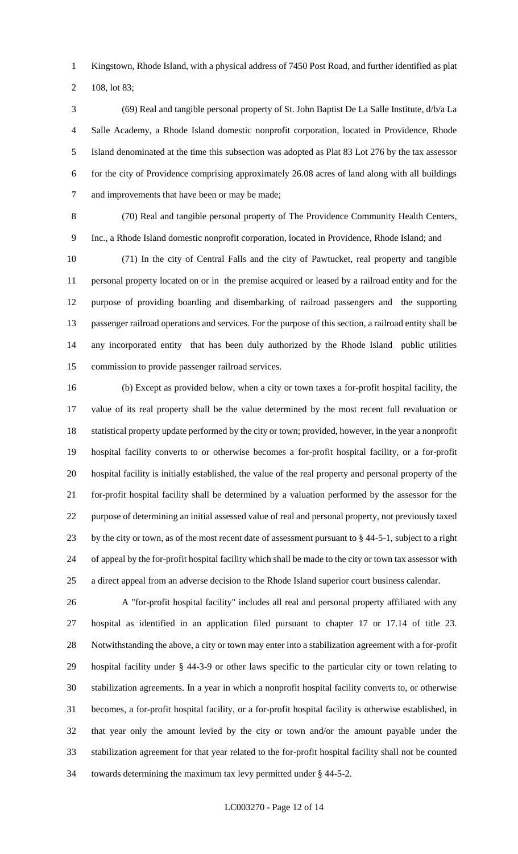Kingstown, Rhode Island, with a physical address of 7450 Post Road, and further identified as plat

108, lot 83;

 (69) Real and tangible personal property of St. John Baptist De La Salle Institute, d/b/a La Salle Academy, a Rhode Island domestic nonprofit corporation, located in Providence, Rhode Island denominated at the time this subsection was adopted as Plat 83 Lot 276 by the tax assessor for the city of Providence comprising approximately 26.08 acres of land along with all buildings and improvements that have been or may be made;

 (70) Real and tangible personal property of The Providence Community Health Centers, Inc., a Rhode Island domestic nonprofit corporation, located in Providence, Rhode Island; and

 (71) In the city of Central Falls and the city of Pawtucket, real property and tangible personal property located on or in the premise acquired or leased by a railroad entity and for the purpose of providing boarding and disembarking of railroad passengers and the supporting passenger railroad operations and services. For the purpose of this section, a railroad entity shall be any incorporated entity that has been duly authorized by the Rhode Island public utilities commission to provide passenger railroad services.

 (b) Except as provided below, when a city or town taxes a for-profit hospital facility, the value of its real property shall be the value determined by the most recent full revaluation or statistical property update performed by the city or town; provided, however, in the year a nonprofit hospital facility converts to or otherwise becomes a for-profit hospital facility, or a for-profit hospital facility is initially established, the value of the real property and personal property of the for-profit hospital facility shall be determined by a valuation performed by the assessor for the purpose of determining an initial assessed value of real and personal property, not previously taxed by the city or town, as of the most recent date of assessment pursuant to § 44-5-1, subject to a right of appeal by the for-profit hospital facility which shall be made to the city or town tax assessor with a direct appeal from an adverse decision to the Rhode Island superior court business calendar.

 A "for-profit hospital facility" includes all real and personal property affiliated with any hospital as identified in an application filed pursuant to chapter 17 or 17.14 of title 23. Notwithstanding the above, a city or town may enter into a stabilization agreement with a for-profit hospital facility under § 44-3-9 or other laws specific to the particular city or town relating to stabilization agreements. In a year in which a nonprofit hospital facility converts to, or otherwise becomes, a for-profit hospital facility, or a for-profit hospital facility is otherwise established, in that year only the amount levied by the city or town and/or the amount payable under the stabilization agreement for that year related to the for-profit hospital facility shall not be counted towards determining the maximum tax levy permitted under § 44-5-2.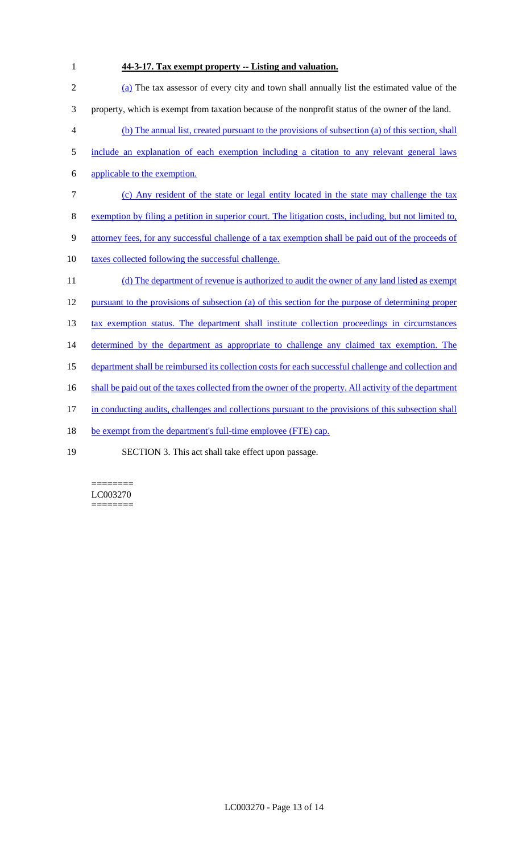**44-3-17. Tax exempt property -- Listing and valuation.** (a) The tax assessor of every city and town shall annually list the estimated value of the property, which is exempt from taxation because of the nonprofit status of the owner of the land. (b) The annual list, created pursuant to the provisions of subsection (a) of this section, shall include an explanation of each exemption including a citation to any relevant general laws applicable to the exemption. (c) Any resident of the state or legal entity located in the state may challenge the tax exemption by filing a petition in superior court. The litigation costs, including, but not limited to, attorney fees, for any successful challenge of a tax exemption shall be paid out of the proceeds of 10 taxes collected following the successful challenge. 11 (d) The department of revenue is authorized to audit the owner of any land listed as exempt pursuant to the provisions of subsection (a) of this section for the purpose of determining proper 13 tax exemption status. The department shall institute collection proceedings in circumstances 14 determined by the department as appropriate to challenge any claimed tax exemption. The department shall be reimbursed its collection costs for each successful challenge and collection and 16 shall be paid out of the taxes collected from the owner of the property. All activity of the department in conducting audits, challenges and collections pursuant to the provisions of this subsection shall 18 be exempt from the department's full-time employee (FTE) cap. SECTION 3. This act shall take effect upon passage.

======== LC003270 ========